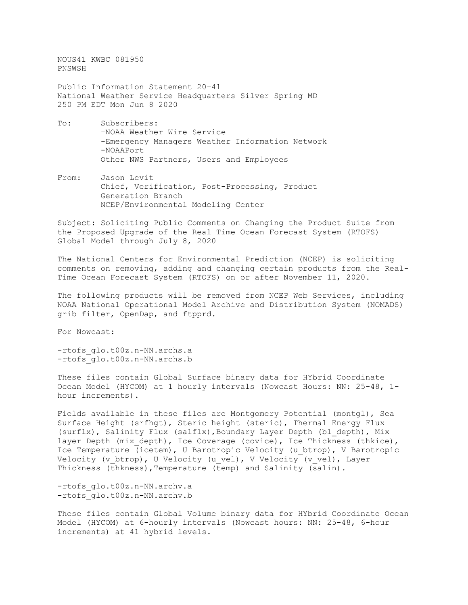NOUS41 KWBC 081950 PNSWSH Public Information Statement 20-41 National Weather Service Headquarters Silver Spring MD 250 PM EDT Mon Jun 8 2020

- To: Subscribers: -NOAA Weather Wire Service -Emergency Managers Weather Information Network -NOAAPort Other NWS Partners, Users and Employees
- From: Jason Levit Chief, Verification, Post-Processing, Product Generation Branch NCEP/Environmental Modeling Center

Subject: Soliciting Public Comments on Changing the Product Suite from the Proposed Upgrade of the Real Time Ocean Forecast System (RTOFS) Global Model through July 8, 2020

The National Centers for Environmental Prediction (NCEP) is soliciting comments on removing, adding and changing certain products from the Real-Time Ocean Forecast System (RTOFS) on or after November 11, 2020.

The following products will be removed from NCEP Web Services, including NOAA National Operational Model Archive and Distribution System (NOMADS) grib filter, OpenDap, and ftpprd.

For Nowcast:

-rtofs\_glo.t00z.n-NN.archs.a -rtofs\_glo.t00z.n-NN.archs.b

These files contain Global Surface binary data for HYbrid Coordinate Ocean Model (HYCOM) at 1 hourly intervals (Nowcast Hours: NN: 25-48, 1 hour increments).

Fields available in these files are Montgomery Potential (montgl), Sea Surface Height (srfhgt), Steric height (steric), Thermal Energy Flux (surflx), Salinity Flux (salflx),Boundary Layer Depth (bl\_depth), Mix layer Depth (mix depth), Ice Coverage (covice), Ice Thickness (thkice), Ice Temperature (icetem), U Barotropic Velocity (u\_btrop), V Barotropic Velocity (v\_btrop), U Velocity (u\_vel), V Velocity (v vel), Layer Thickness (thkness),Temperature (temp) and Salinity (salin).

-rtofs glo.t00z.n-NN.archv.a -rtofs\_glo.t00z.n-NN.archv.b

These files contain Global Volume binary data for HYbrid Coordinate Ocean Model (HYCOM) at 6-hourly intervals (Nowcast hours: NN: 25-48, 6-hour increments) at 41 hybrid levels.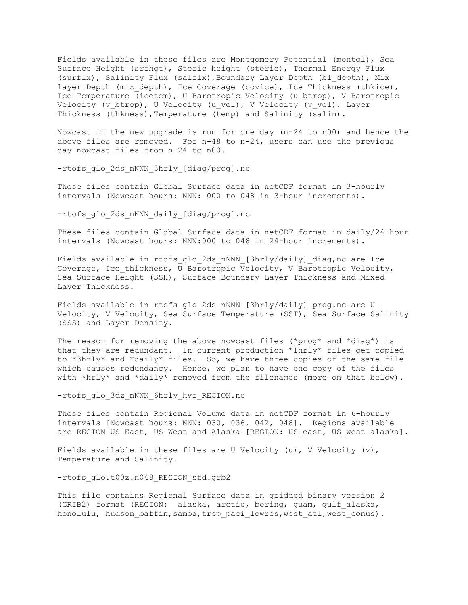Fields available in these files are Montgomery Potential (montgl), Sea Surface Height (srfhgt), Steric height (steric), Thermal Energy Flux (surflx), Salinity Flux (salflx),Boundary Layer Depth (bl\_depth), Mix layer Depth (mix depth), Ice Coverage (covice), Ice Thickness (thkice), Ice Temperature (icetem), U Barotropic Velocity (u\_btrop), V Barotropic Velocity (v btrop), U Velocity (u vel), V Velocity (v vel), Layer Thickness (thkness), Temperature (temp) and Salinity (salin).

Nowcast in the new upgrade is run for one day (n-24 to n00) and hence the above files are removed. For n-48 to n-24, users can use the previous day nowcast files from n-24 to n00.

-rtofs\_glo\_2ds\_nNNN\_3hrly\_[diag/prog].nc

These files contain Global Surface data in netCDF format in 3-hourly intervals (Nowcast hours: NNN: 000 to 048 in 3-hour increments).

-rtofs\_glo\_2ds\_nNNN\_daily\_[diag/prog].nc

These files contain Global Surface data in netCDF format in daily/24-hour intervals (Nowcast hours: NNN:000 to 048 in 24-hour increments).

Fields available in rtofs glo 2ds nNNN [3hrly/daily] diag,nc are Ice Coverage, Ice thickness, U Barotropic Velocity, V Barotropic Velocity, Sea Surface Height (SSH), Surface Boundary Layer Thickness and Mixed Layer Thickness.

Fields available in rtofs\_glo\_2ds\_nNNN\_[3hrly/daily]\_prog.nc are U Velocity, V Velocity, Sea Surface Temperature (SST), Sea Surface Salinity (SSS) and Layer Density.

The reason for removing the above nowcast files (\*prog\* and \*diag\*) is that they are redundant. In current production \*1hrly\* files get copied to \*3hrly\* and \*daily\* files. So, we have three copies of the same file which causes redundancy. Hence, we plan to have one copy of the files with \*hrly\* and \*daily\* removed from the filenames (more on that below).

-rtofs\_glo\_3dz\_nNNN\_6hrly\_hvr\_REGION.nc

These files contain Regional Volume data in netCDF format in 6-hourly intervals [Nowcast hours: NNN: 030, 036, 042, 048]. Regions available are REGION US East, US West and Alaska [REGION: US east, US west alaska].

Fields available in these files are U Velocity (u), V Velocity (v), Temperature and Salinity.

-rtofs qlo.t00z.n048 REGION std.grb2

This file contains Regional Surface data in gridded binary version 2 (GRIB2) format (REGION: alaska, arctic, bering, guam, gulf\_alaska, honolulu, hudson baffin,samoa,trop paci lowres, west atl, west conus).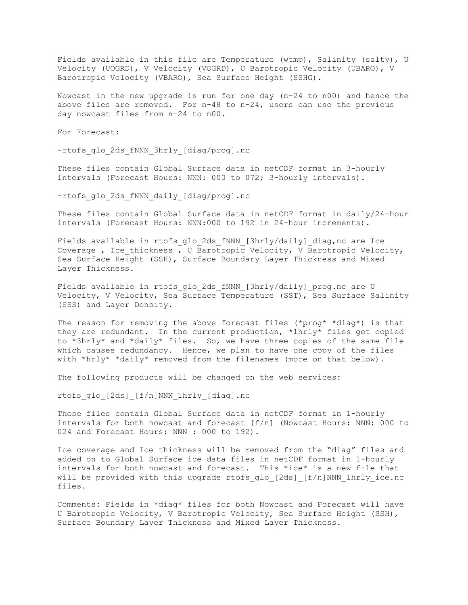Fields available in this file are Temperature (wtmp), Salinity (salty), U Velocity (UOGRD), V Velocity (VOGRD), U Barotropic Velocity (UBARO), V Barotropic Velocity (VBARO), Sea Surface Height (SSHG).

Nowcast in the new upgrade is run for one day (n-24 to n00) and hence the above files are removed. For n-48 to n-24, users can use the previous day nowcast files from n-24 to n00.

For Forecast:

-rtofs\_glo\_2ds\_fNNN\_3hrly\_[diag/prog].nc

These files contain Global Surface data in netCDF format in 3-hourly intervals (Forecast Hours: NNN: 000 to 072; 3-hourly intervals).

-rtofs\_glo\_2ds\_fNNN\_daily\_[diag/prog].nc

These files contain Global Surface data in netCDF format in daily/24-hour intervals (Forecast Hours: NNN:000 to 192 in 24-hour increments).

Fields available in rtofs\_glo\_2ds\_fNNN\_[3hrly/daily]\_diag,nc are Ice Coverage , Ice thickness , U Barotropic Velocity, V Barotropic Velocity, Sea Surface Height (SSH), Surface Boundary Layer Thickness and Mixed Layer Thickness.

Fields available in rtofs\_glo\_2ds\_fNNN\_[3hrly/daily]\_prog.nc are U Velocity, V Velocity, Sea Surface Temperature (SST), Sea Surface Salinity (SSS) and Layer Density.

The reason for removing the above forecast files (\*prog\* \*diag\*) is that they are redundant. In the current production, \*1hrly\* files get copied to \*3hrly\* and \*daily\* files. So, we have three copies of the same file which causes redundancy. Hence, we plan to have one copy of the files with \*hrly\* \*daily\* removed from the filenames (more on that below).

The following products will be changed on the web services:

rtofs\_glo\_[2ds]\_[f/n]NNN\_1hrly\_[diag].nc

These files contain Global Surface data in netCDF format in 1-hourly intervals for both nowcast and forecast [f/n] (Nowcast Hours: NNN: 000 to 024 and Forecast Hours: NNN : 000 to 192).

Ice coverage and Ice thickness will be removed from the "diag" files and added on to Global Surface ice data files in netCDF format in 1-hourly intervals for both nowcast and forecast. This \*ice\* is a new file that will be provided with this upgrade rtofs glo [2ds] [f/n]NNN 1hrly ice.nc files.

Comments: Fields in \*diag\* files for both Nowcast and Forecast will have U Barotropic Velocity, V Barotropic Velocity, Sea Surface Height (SSH), Surface Boundary Layer Thickness and Mixed Layer Thickness.